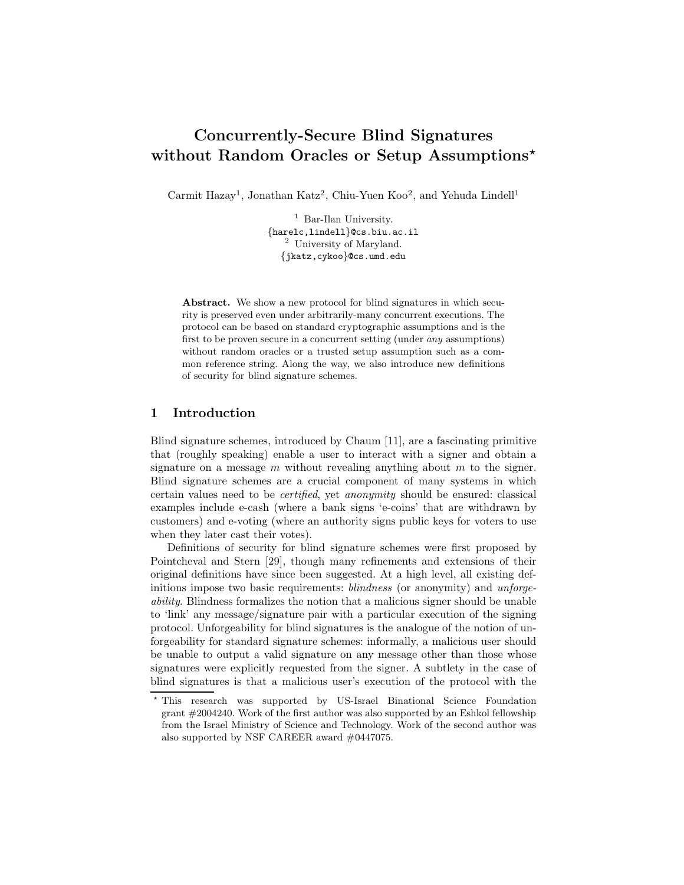# Concurrently-Secure Blind Signatures without Random Oracles or Setup Assumptions<sup>\*</sup>

Carmit Hazay<sup>1</sup>, Jonathan Katz<sup>2</sup>, Chiu-Yuen Koo<sup>2</sup>, and Yehuda Lindell<sup>1</sup>

<sup>1</sup> Bar-Ilan University. {harelc,lindell}@cs.biu.ac.il <sup>2</sup> University of Maryland. {jkatz,cykoo}@cs.umd.edu

Abstract. We show a new protocol for blind signatures in which security is preserved even under arbitrarily-many concurrent executions. The protocol can be based on standard cryptographic assumptions and is the first to be proven secure in a concurrent setting (under *any* assumptions) without random oracles or a trusted setup assumption such as a common reference string. Along the way, we also introduce new definitions of security for blind signature schemes.

### 1 Introduction

Blind signature schemes, introduced by Chaum [11], are a fascinating primitive that (roughly speaking) enable a user to interact with a signer and obtain a signature on a message  $m$  without revealing anything about  $m$  to the signer. Blind signature schemes are a crucial component of many systems in which certain values need to be certified, yet anonymity should be ensured: classical examples include e-cash (where a bank signs 'e-coins' that are withdrawn by customers) and e-voting (where an authority signs public keys for voters to use when they later cast their votes).

Definitions of security for blind signature schemes were first proposed by Pointcheval and Stern [29], though many refinements and extensions of their original definitions have since been suggested. At a high level, all existing definitions impose two basic requirements: *blindness* (or anonymity) and *unforge*ability. Blindness formalizes the notion that a malicious signer should be unable to 'link' any message/signature pair with a particular execution of the signing protocol. Unforgeability for blind signatures is the analogue of the notion of unforgeability for standard signature schemes: informally, a malicious user should be unable to output a valid signature on any message other than those whose signatures were explicitly requested from the signer. A subtlety in the case of blind signatures is that a malicious user's execution of the protocol with the

<sup>?</sup> This research was supported by US-Israel Binational Science Foundation grant #2004240. Work of the first author was also supported by an Eshkol fellowship from the Israel Ministry of Science and Technology. Work of the second author was also supported by NSF CAREER award #0447075.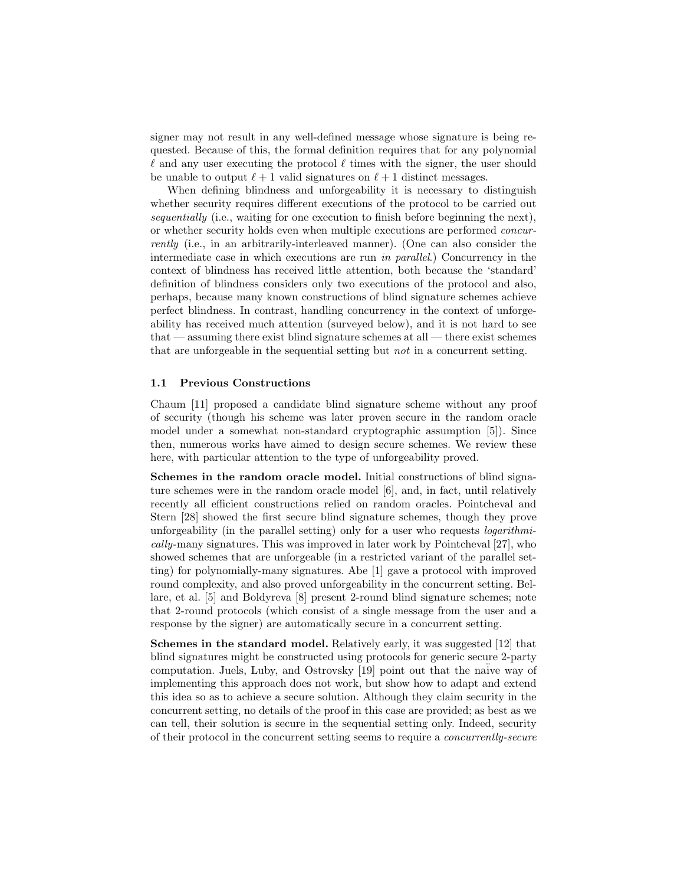signer may not result in any well-defined message whose signature is being requested. Because of this, the formal definition requires that for any polynomial  $\ell$  and any user executing the protocol  $\ell$  times with the signer, the user should be unable to output  $\ell + 1$  valid signatures on  $\ell + 1$  distinct messages.

When defining blindness and unforgeability it is necessary to distinguish whether security requires different executions of the protocol to be carried out sequentially (i.e., waiting for one execution to finish before beginning the next), or whether security holds even when multiple executions are performed concurrently (i.e., in an arbitrarily-interleaved manner). (One can also consider the intermediate case in which executions are run in parallel.) Concurrency in the context of blindness has received little attention, both because the 'standard' definition of blindness considers only two executions of the protocol and also, perhaps, because many known constructions of blind signature schemes achieve perfect blindness. In contrast, handling concurrency in the context of unforgeability has received much attention (surveyed below), and it is not hard to see that — assuming there exist blind signature schemes at all — there exist schemes that are unforgeable in the sequential setting but *not* in a concurrent setting.

#### 1.1 Previous Constructions

Chaum [11] proposed a candidate blind signature scheme without any proof of security (though his scheme was later proven secure in the random oracle model under a somewhat non-standard cryptographic assumption [5]). Since then, numerous works have aimed to design secure schemes. We review these here, with particular attention to the type of unforgeability proved.

Schemes in the random oracle model. Initial constructions of blind signature schemes were in the random oracle model [6], and, in fact, until relatively recently all efficient constructions relied on random oracles. Pointcheval and Stern [28] showed the first secure blind signature schemes, though they prove unforgeability (in the parallel setting) only for a user who requests *logarithmi*cally-many signatures. This was improved in later work by Pointcheval [27], who showed schemes that are unforgeable (in a restricted variant of the parallel setting) for polynomially-many signatures. Abe [1] gave a protocol with improved round complexity, and also proved unforgeability in the concurrent setting. Bellare, et al. [5] and Boldyreva [8] present 2-round blind signature schemes; note that 2-round protocols (which consist of a single message from the user and a response by the signer) are automatically secure in a concurrent setting.

Schemes in the standard model. Relatively early, it was suggested [12] that blind signatures might be constructed using protocols for generic secure 2-party computation. Juels, Luby, and Ostrovsky [19] point out that the naïve way of implementing this approach does not work, but show how to adapt and extend this idea so as to achieve a secure solution. Although they claim security in the concurrent setting, no details of the proof in this case are provided; as best as we can tell, their solution is secure in the sequential setting only. Indeed, security of their protocol in the concurrent setting seems to require a concurrently-secure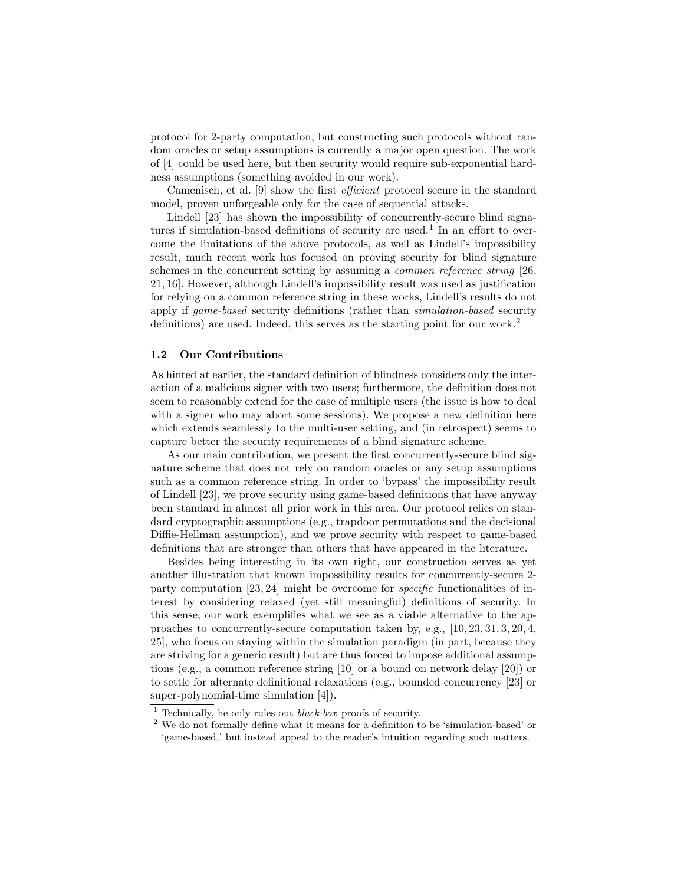protocol for 2-party computation, but constructing such protocols without random oracles or setup assumptions is currently a major open question. The work of [4] could be used here, but then security would require sub-exponential hardness assumptions (something avoided in our work).

Camenisch, et al. [9] show the first efficient protocol secure in the standard model, proven unforgeable only for the case of sequential attacks.

Lindell [23] has shown the impossibility of concurrently-secure blind signatures if simulation-based definitions of security are used.<sup>1</sup> In an effort to overcome the limitations of the above protocols, as well as Lindell's impossibility result, much recent work has focused on proving security for blind signature schemes in the concurrent setting by assuming a *common reference string* [26, 21, 16]. However, although Lindell's impossibility result was used as justification for relying on a common reference string in these works, Lindell's results do not apply if game-based security definitions (rather than simulation-based security definitions) are used. Indeed, this serves as the starting point for our work.<sup>2</sup>

#### 1.2 Our Contributions

As hinted at earlier, the standard definition of blindness considers only the interaction of a malicious signer with two users; furthermore, the definition does not seem to reasonably extend for the case of multiple users (the issue is how to deal with a signer who may abort some sessions). We propose a new definition here which extends seamlessly to the multi-user setting, and (in retrospect) seems to capture better the security requirements of a blind signature scheme.

As our main contribution, we present the first concurrently-secure blind signature scheme that does not rely on random oracles or any setup assumptions such as a common reference string. In order to 'bypass' the impossibility result of Lindell [23], we prove security using game-based definitions that have anyway been standard in almost all prior work in this area. Our protocol relies on standard cryptographic assumptions (e.g., trapdoor permutations and the decisional Diffie-Hellman assumption), and we prove security with respect to game-based definitions that are stronger than others that have appeared in the literature.

Besides being interesting in its own right, our construction serves as yet another illustration that known impossibility results for concurrently-secure 2 party computation [23, 24] might be overcome for specific functionalities of interest by considering relaxed (yet still meaningful) definitions of security. In this sense, our work exemplifies what we see as a viable alternative to the approaches to concurrently-secure computation taken by, e.g., [10, 23, 31, 3, 20, 4, 25], who focus on staying within the simulation paradigm (in part, because they are striving for a generic result) but are thus forced to impose additional assumptions (e.g., a common reference string [10] or a bound on network delay [20]) or to settle for alternate definitional relaxations (e.g., bounded concurrency [23] or super-polynomial-time simulation [4]).

 $1$  Technically, he only rules out *black-box* proofs of security.

 $^2$  We do not formally define what it means for a definition to be 'simulation-based' or 'game-based,' but instead appeal to the reader's intuition regarding such matters.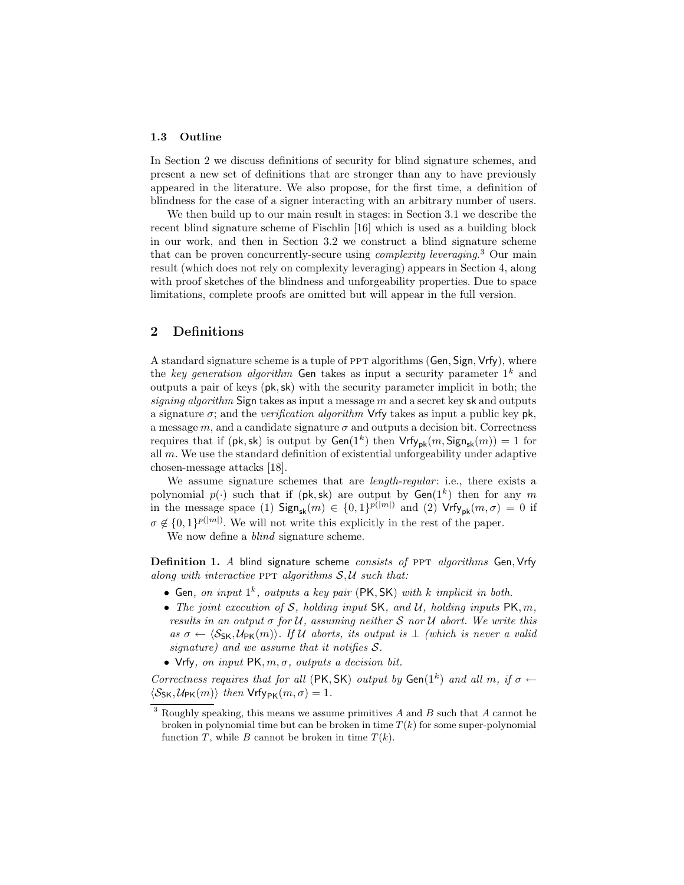#### 1.3 Outline

In Section 2 we discuss definitions of security for blind signature schemes, and present a new set of definitions that are stronger than any to have previously appeared in the literature. We also propose, for the first time, a definition of blindness for the case of a signer interacting with an arbitrary number of users.

We then build up to our main result in stages: in Section 3.1 we describe the recent blind signature scheme of Fischlin [16] which is used as a building block in our work, and then in Section 3.2 we construct a blind signature scheme that can be proven concurrently-secure using *complexity leveraging*.<sup>3</sup> Our main result (which does not rely on complexity leveraging) appears in Section 4, along with proof sketches of the blindness and unforgeability properties. Due to space limitations, complete proofs are omitted but will appear in the full version.

# 2 Definitions

A standard signature scheme is a tuple of PPT algorithms (Gen, Sign, Vrfy), where the key generation algorithm Gen takes as input a security parameter  $1^k$  and outputs a pair of keys (pk,sk) with the security parameter implicit in both; the signing algorithm Sign takes as input a message  $m$  and a secret key sk and outputs a signature  $\sigma$ ; and the *verification algorithm* Vrfy takes as input a public key pk, a message m, and a candidate signature  $\sigma$  and outputs a decision bit. Correctness requires that if (pk, sk) is output by  $\mathsf{Gen}(1^k)$  then  $\mathsf{Vrfy}_{\mathsf{pk}}(m,\mathsf{Sign}_{\mathsf{sk}}(m)) = 1$  for all  $m$ . We use the standard definition of existential unforgeability under adaptive chosen-message attacks [18].

We assume signature schemes that are *length-regular*: i.e., there exists a polynomial  $p(\cdot)$  such that if (pk, sk) are output by  $Gen(1^k)$  then for any m in the message space (1)  $\mathsf{Sign}_{\mathsf{sk}}(m) \in \{0,1\}^{p(|m|)}$  and (2)  $\mathsf{Vrfy}_{\mathsf{pk}}(m,\sigma) = 0$  if  $\sigma \notin \{0,1\}^{p(|m|)}$ . We will not write this explicitly in the rest of the paper.

We now define a *blind* signature scheme.

**Definition 1.** A blind signature scheme consists of PPT algorithms Gen, Vrfy along with interactive PPT algorithms  $S, U$  such that:

- Gen, on input  $1^k$ , outputs a key pair (PK, SK) with k implicit in both.
- The joint execution of S, holding input SK, and U, holding inputs  $PK, m$ , results in an output  $\sigma$  for U, assuming neither S nor U abort. We write this as  $\sigma \leftarrow \langle S_{SK}, \mathcal{U}_{PK}(m) \rangle$ . If U aborts, its output is  $\perp$  (which is never a valid signature) and we assume that it notifies  $S$ .
- Vrfy, on input  $PK, m, \sigma$ , outputs a decision bit.

Correctness requires that for all (PK, SK) output by  $Gen(1^k)$  and all m, if  $\sigma \leftarrow$  $\langle S_{\rm SK}, \mathcal{U}_{\rm PK}(m)\rangle$  then  $\mathsf{Vrfy}_{\rm PK}(m, \sigma) = 1$ .

 $3$  Roughly speaking, this means we assume primitives A and B such that A cannot be broken in polynomial time but can be broken in time  $T(k)$  for some super-polynomial function T, while B cannot be broken in time  $T(k)$ .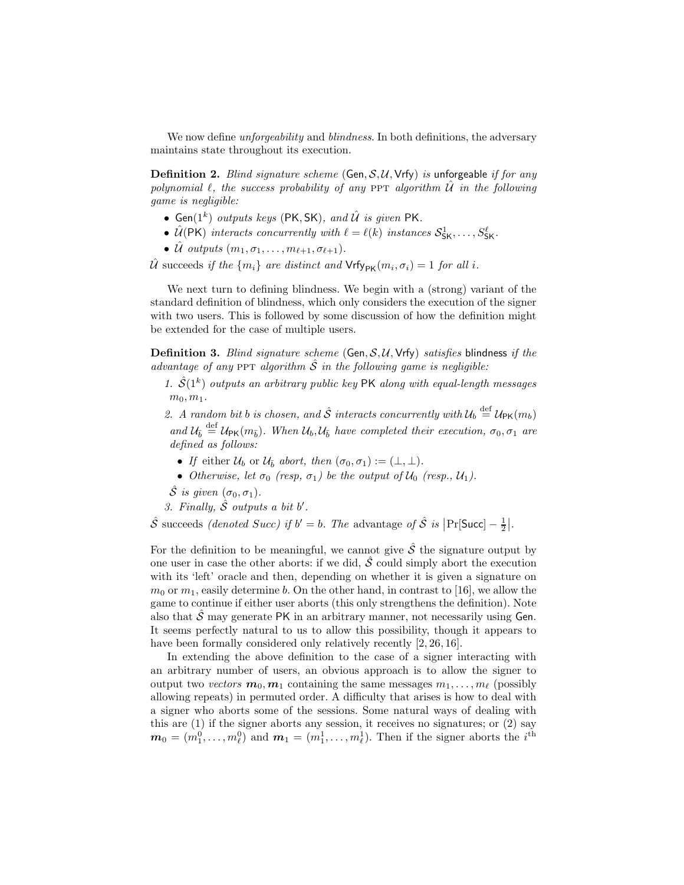We now define *unforgeability* and *blindness*. In both definitions, the adversary maintains state throughout its execution.

**Definition 2.** Blind signature scheme (Gen,  $S, U, V$ rfy) is unforgeable if for any polynomial  $\ell$ , the success probability of any PPT algorithm  $\tilde{U}$  in the following game is negligible:

- Gen $(1^k)$  outputs keys (PK, SK), and  $\hat{\mathcal{U}}$  is given PK.
- $\hat{\mathcal{U}}(PK)$  interacts concurrently with  $\ell = \ell(k)$  instances  $\mathcal{S}_{SK}^1, \ldots, \mathcal{S}_{SK}^{\ell}$ .
- $\hat{\mathcal{U}}$  outputs  $(m_1, \sigma_1, \ldots, m_{\ell+1}, \sigma_{\ell+1}).$

 $\hat{\mathcal{U}}$  succeeds if the  $\{m_i\}$  are distinct and  $\mathsf{Vrfy}_{\mathsf{PK}}(m_i, \sigma_i) = 1$  for all i.

We next turn to defining blindness. We begin with a (strong) variant of the standard definition of blindness, which only considers the execution of the signer with two users. This is followed by some discussion of how the definition might be extended for the case of multiple users.

**Definition 3.** Blind signature scheme (Gen,  $S, U, V$ rfy) satisfies blindness if the advantage of any PPT algorithm  $\tilde{S}$  in the following game is negligible:

1.  $\hat{\mathcal{S}}(1^k)$  outputs an arbitrary public key PK along with equal-length messages  $m_0, m_1.$ 

2. A random bit b is chosen, and  $\hat{S}$  interacts concurrently with  $\mathcal{U}_b \stackrel{\text{def}}{=} \mathcal{U}_{\text{PK}}(m_b)$ and  $\mathcal{U}_{\bar{b}} \stackrel{\text{def}}{=} \mathcal{U}_{\text{PK}}(m_{\bar{b}})$ . When  $\mathcal{U}_b, \mathcal{U}_{\bar{b}}$  have completed their execution,  $\sigma_0, \sigma_1$  are defined as follows:

- If either  $U_b$  or  $U_{\bar{b}}$  abort, then  $(\sigma_0, \sigma_1) := (\perp, \perp)$ .
- Otherwise, let  $\sigma_0$  (resp,  $\sigma_1$ ) be the output of  $\mathcal{U}_0$  (resp.,  $\mathcal{U}_1$ ).
- $\hat{\mathcal{S}}$  is given  $(\sigma_0, \sigma_1)$ .
- 3. Finally,  $\hat{\mathcal{S}}$  outputs a bit b'.

 $\hat{S}$  succeeds *(denoted Succ)* if  $b' = b$ . The advantage of  $\hat{S}$  is  $\left| \Pr[\text{Succ}] - \frac{1}{2} \right|$ .

For the definition to be meaningful, we cannot give  $\hat{\mathcal{S}}$  the signature output by one user in case the other aborts: if we did,  $S$  could simply abort the execution with its 'left' oracle and then, depending on whether it is given a signature on  $m_0$  or  $m_1$ , easily determine b. On the other hand, in contrast to [16], we allow the game to continue if either user aborts (this only strengthens the definition). Note also that  $\hat{S}$  may generate PK in an arbitrary manner, not necessarily using Gen. It seems perfectly natural to us to allow this possibility, though it appears to have been formally considered only relatively recently  $[2, 26, 16]$ .

In extending the above definition to the case of a signer interacting with an arbitrary number of users, an obvious approach is to allow the signer to output two vectors  $m_0, m_1$  containing the same messages  $m_1, \ldots, m_\ell$  (possibly allowing repeats) in permuted order. A difficulty that arises is how to deal with a signer who aborts some of the sessions. Some natural ways of dealing with this are (1) if the signer aborts any session, it receives no signatures; or (2) say  $\boldsymbol{m}_0 = (m_1^0, \ldots, m_\ell^0)$  and  $\boldsymbol{m}_1 = (m_1^1, \ldots, m_\ell^1)$ . Then if the signer aborts the  $i^{\text{th}}$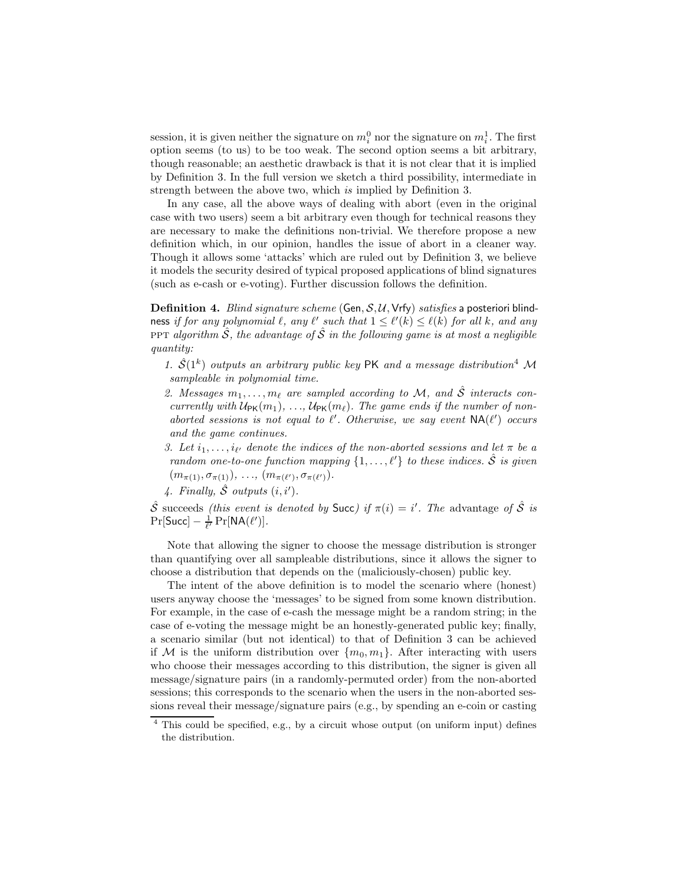session, it is given neither the signature on  $m_i^0$  nor the signature on  $m_i^1$ . The first option seems (to us) to be too weak. The second option seems a bit arbitrary, though reasonable; an aesthetic drawback is that it is not clear that it is implied by Definition 3. In the full version we sketch a third possibility, intermediate in strength between the above two, which is implied by Definition 3.

In any case, all the above ways of dealing with abort (even in the original case with two users) seem a bit arbitrary even though for technical reasons they are necessary to make the definitions non-trivial. We therefore propose a new definition which, in our opinion, handles the issue of abort in a cleaner way. Though it allows some 'attacks' which are ruled out by Definition 3, we believe it models the security desired of typical proposed applications of blind signatures (such as e-cash or e-voting). Further discussion follows the definition.

**Definition 4.** Blind signature scheme (Gen,  $S, U, Vfly$ ) satisfies a posteriori blindness if for any polynomial  $\ell$ , any  $\ell'$  such that  $1 \leq \ell'(k) \leq \ell(k)$  for all k, and any PPT algorithm  $\hat{S}$ , the advantage of  $\hat{S}$  in the following game is at most a negligible quantity:

- 1.  $\hat{\mathcal{S}}(1^k)$  outputs an arbitrary public key PK and a message distribution<sup>4</sup> M sampleable in polynomial time.
- 2. Messages  $m_1, \ldots, m_\ell$  are sampled according to M, and  $\hat{\mathcal{S}}$  interacts concurrently with  $\mathcal{U}_{\mathsf{PK}}(m_1), \ldots, \mathcal{U}_{\mathsf{PK}}(m_\ell)$ . The game ends if the number of nonaborted sessions is not equal to  $\ell'$ . Otherwise, we say event  $NA(\ell')$  occurs and the game continues.
- 3. Let  $i_1, \ldots, i_{\ell'}$  denote the indices of the non-aborted sessions and let  $\pi$  be a random one-to-one function mapping  $\{1,\ldots,\ell'\}$  to these indices.  $\hat{\mathcal{S}}$  is given  $(m_{\pi(1)}, \sigma_{\pi(1)}), \ldots, (m_{\pi(\ell')}, \sigma_{\pi(\ell')}).$
- 4. Finally,  $\hat{\mathcal{S}}$  outputs  $(i, i')$ .

 $\hat{\mathcal{S}}$  succeeds (this event is denoted by Succ) if  $\pi(i) = i'$ . The advantage of  $\hat{\mathcal{S}}$  is  $Pr[\mathsf{Succ}] - \frac{1}{\ell'} Pr[\mathsf{NA}(\ell')]$ .

Note that allowing the signer to choose the message distribution is stronger than quantifying over all sampleable distributions, since it allows the signer to choose a distribution that depends on the (maliciously-chosen) public key.

The intent of the above definition is to model the scenario where (honest) users anyway choose the 'messages' to be signed from some known distribution. For example, in the case of e-cash the message might be a random string; in the case of e-voting the message might be an honestly-generated public key; finally, a scenario similar (but not identical) to that of Definition 3 can be achieved if M is the uniform distribution over  $\{m_0, m_1\}$ . After interacting with users who choose their messages according to this distribution, the signer is given all message/signature pairs (in a randomly-permuted order) from the non-aborted sessions; this corresponds to the scenario when the users in the non-aborted sessions reveal their message/signature pairs (e.g., by spending an e-coin or casting

<sup>&</sup>lt;sup>4</sup> This could be specified, e.g., by a circuit whose output (on uniform input) defines the distribution.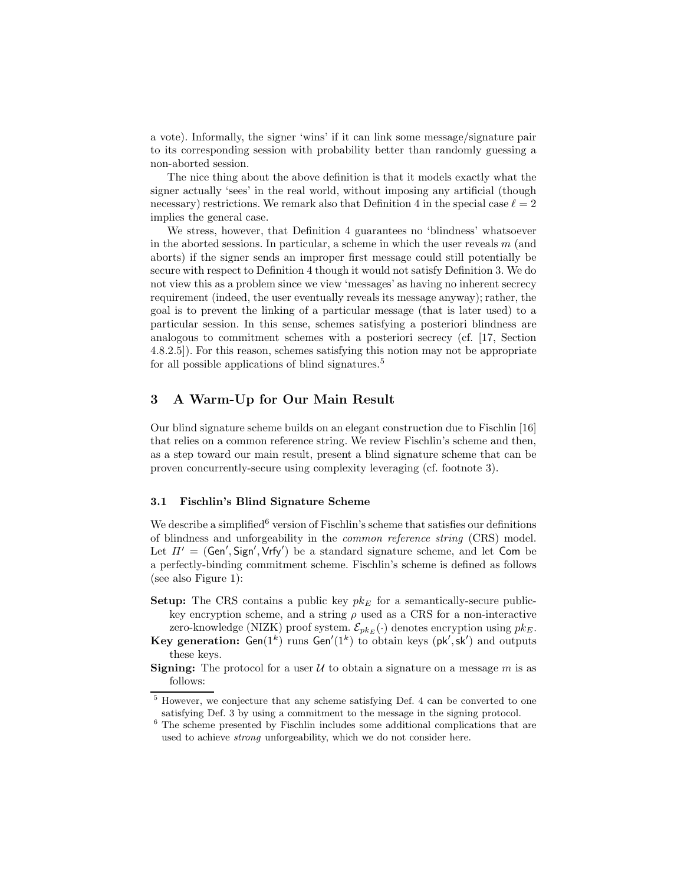a vote). Informally, the signer 'wins' if it can link some message/signature pair to its corresponding session with probability better than randomly guessing a non-aborted session.

The nice thing about the above definition is that it models exactly what the signer actually 'sees' in the real world, without imposing any artificial (though necessary) restrictions. We remark also that Definition 4 in the special case  $\ell = 2$ implies the general case.

We stress, however, that Definition 4 guarantees no 'blindness' whatsoever in the aborted sessions. In particular, a scheme in which the user reveals  $m$  (and aborts) if the signer sends an improper first message could still potentially be secure with respect to Definition 4 though it would not satisfy Definition 3. We do not view this as a problem since we view 'messages' as having no inherent secrecy requirement (indeed, the user eventually reveals its message anyway); rather, the goal is to prevent the linking of a particular message (that is later used) to a particular session. In this sense, schemes satisfying a posteriori blindness are analogous to commitment schemes with a posteriori secrecy (cf. [17, Section 4.8.2.5]). For this reason, schemes satisfying this notion may not be appropriate for all possible applications of blind signatures.<sup>5</sup>

### 3 A Warm-Up for Our Main Result

Our blind signature scheme builds on an elegant construction due to Fischlin [16] that relies on a common reference string. We review Fischlin's scheme and then, as a step toward our main result, present a blind signature scheme that can be proven concurrently-secure using complexity leveraging (cf. footnote 3).

### 3.1 Fischlin's Blind Signature Scheme

We describe a simplified<sup>6</sup> version of Fischlin's scheme that satisfies our definitions of blindness and unforgeability in the common reference string (CRS) model. Let  $\Pi' = (\mathsf{Gen}', \mathsf{Sign}', \mathsf{Vrfy}')$  be a standard signature scheme, and let Com be a perfectly-binding commitment scheme. Fischlin's scheme is defined as follows (see also Figure 1):

- **Setup:** The CRS contains a public key  $pk_E$  for a semantically-secure publickey encryption scheme, and a string  $\rho$  used as a CRS for a non-interactive zero-knowledge (NIZK) proof system.  $\mathcal{E}_{pk_E}(\cdot)$  denotes encryption using  $pk_E$ .
- Key generation:  $Gen(1^k)$  runs  $Gen'(1^k)$  to obtain keys (pk', sk') and outputs these keys.
- **Signing:** The protocol for a user  $\mathcal U$  to obtain a signature on a message m is as follows:

<sup>5</sup> However, we conjecture that any scheme satisfying Def. 4 can be converted to one satisfying Def. 3 by using a commitment to the message in the signing protocol.

 $6$  The scheme presented by Fischlin includes some additional complications that are used to achieve strong unforgeability, which we do not consider here.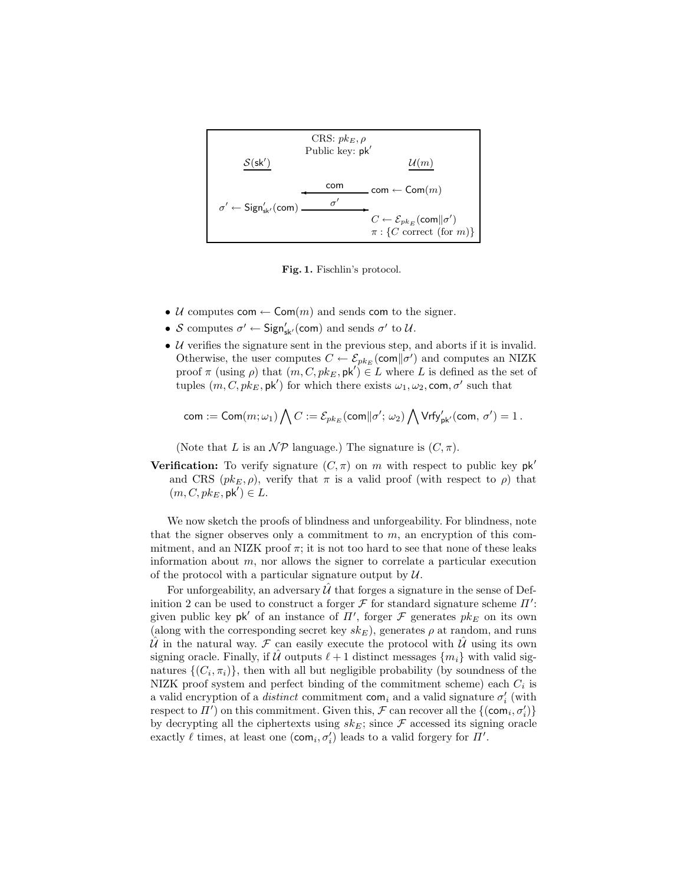

Fig. 1. Fischlin's protocol.

- U computes com  $\leftarrow$  Com $(m)$  and sends com to the signer.
- S computes  $\sigma' \leftarrow \text{Sign}'_{sk'}(\text{com})$  and sends  $\sigma'$  to  $\mathcal{U}$ .
- $U$  verifies the signature sent in the previous step, and aborts if it is invalid. Otherwise, the user computes  $C \leftarrow \mathcal{E}_{pk_E}(\text{com}||\sigma')$  and computes an NIZK proof  $\pi$  (using  $\rho$ ) that  $(m, C, pk_E, \mathsf{pk}') \in L$  where L is defined as the set of tuples  $(m, C, pk_E, \mathsf{pk}')$  for which there exists  $\omega_1, \omega_2$ , com,  $\sigma'$  such that

$$
\mathsf{com} := \mathsf{Com}(m; \omega_1) \bigwedge C := \mathcal{E}_{pk_E}(\mathsf{com} \| \sigma'; \, \omega_2) \bigwedge \mathsf{Vrfy}'_{\mathsf{pk}'}(\mathsf{com}, \, \sigma') = 1 \, .
$$

(Note that L is an  $\mathcal{NP}$  language.) The signature is  $(C, \pi)$ .

**Verification:** To verify signature  $(C, \pi)$  on m with respect to public key pk<sup>'</sup> and CRS  $(pk_E, \rho)$ , verify that  $\pi$  is a valid proof (with respect to  $\rho$ ) that  $(m, C, pk_E, \mathsf{pk}') \in L$ .

We now sketch the proofs of blindness and unforgeability. For blindness, note that the signer observes only a commitment to  $m$ , an encryption of this commitment, and an NIZK proof  $\pi$ ; it is not too hard to see that none of these leaks information about m, nor allows the signer to correlate a particular execution of the protocol with a particular signature output by  $\mathcal{U}$ .

For unforgeability, an adversary  $\hat{U}$  that forges a signature in the sense of Definition 2 can be used to construct a forger  $\mathcal F$  for standard signature scheme  $\Pi'$ : given public key  $pk'$  of an instance of  $\Pi'$ , forger  $\mathcal F$  generates  $pk_E$  on its own (along with the corresponding secret key  $sk_E$ ), generates  $\rho$  at random, and runs  $\hat{U}$  in the natural way.  $\hat{\mathcal{F}}$  can easily execute the protocol with  $\hat{U}$  using its own signing oracle. Finally, if  $\hat{U}$  outputs  $\ell + 1$  distinct messages  $\{m_i\}$  with valid signatures  $\{(C_i, \pi_i)\}\$ , then with all but negligible probability (by soundness of the NIZK proof system and perfect binding of the commitment scheme) each  $C_i$  is a valid encryption of a *distinct* commitment  $com_i$  and a valid signature  $\sigma'_i$  (with respect to  $\Pi'$  on this commitment. Given this,  $\mathcal F$  can recover all the  $\{(\mathsf{com}_i, \sigma'_i)\}$ by decrypting all the ciphertexts using  $sk_E$ ; since  $\mathcal F$  accessed its signing oracle exactly  $\ell$  times, at least one  $(\text{com}_i, \sigma'_i)$  leads to a valid forgery for  $\Pi'$ .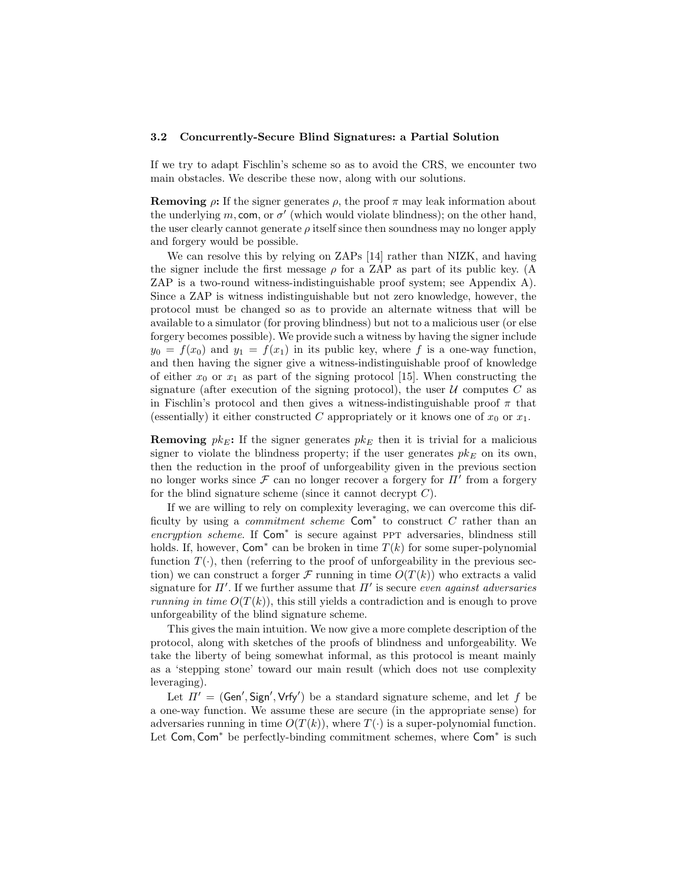#### 3.2 Concurrently-Secure Blind Signatures: a Partial Solution

If we try to adapt Fischlin's scheme so as to avoid the CRS, we encounter two main obstacles. We describe these now, along with our solutions.

**Removing**  $\rho$ : If the signer generates  $\rho$ , the proof  $\pi$  may leak information about the underlying  $m$ , com, or  $\sigma'$  (which would violate blindness); on the other hand, the user clearly cannot generate  $\rho$  itself since then soundness may no longer apply and forgery would be possible.

We can resolve this by relying on ZAPs [14] rather than NIZK, and having the signer include the first message  $\rho$  for a ZAP as part of its public key. (A ZAP is a two-round witness-indistinguishable proof system; see Appendix A). Since a ZAP is witness indistinguishable but not zero knowledge, however, the protocol must be changed so as to provide an alternate witness that will be available to a simulator (for proving blindness) but not to a malicious user (or else forgery becomes possible). We provide such a witness by having the signer include  $y_0 = f(x_0)$  and  $y_1 = f(x_1)$  in its public key, where f is a one-way function, and then having the signer give a witness-indistinguishable proof of knowledge of either  $x_0$  or  $x_1$  as part of the signing protocol [15]. When constructing the signature (after execution of the signing protocol), the user  $U$  computes  $C$  as in Fischlin's protocol and then gives a witness-indistinguishable proof  $\pi$  that (essentially) it either constructed C appropriately or it knows one of  $x_0$  or  $x_1$ .

**Removing**  $pk_E$ : If the signer generates  $pk_E$  then it is trivial for a malicious signer to violate the blindness property; if the user generates  $pk_E$  on its own, then the reduction in the proof of unforgeability given in the previous section no longer works since  $\mathcal F$  can no longer recover a forgery for  $\Pi'$  from a forgery for the blind signature scheme (since it cannot decrypt  $C$ ).

If we are willing to rely on complexity leveraging, we can overcome this difficulty by using a *commitment scheme*  $Com<sup>*</sup>$  to construct  $C$  rather than an encryption scheme. If  $Com^*$  is secure against PPT adversaries, blindness still holds. If, however,  $Com^*$  can be broken in time  $T(k)$  for some super-polynomial function  $T(\cdot)$ , then (referring to the proof of unforgeability in the previous section) we can construct a forger  $\mathcal F$  running in time  $O(T(k))$  who extracts a valid signature for  $\Pi'$ . If we further assume that  $\Pi'$  is secure even against adversaries *running in time*  $O(T(k))$ , this still yields a contradiction and is enough to prove unforgeability of the blind signature scheme.

This gives the main intuition. We now give a more complete description of the protocol, along with sketches of the proofs of blindness and unforgeability. We take the liberty of being somewhat informal, as this protocol is meant mainly as a 'stepping stone' toward our main result (which does not use complexity leveraging).

Let  $\Pi' = (\mathsf{Gen}', \mathsf{Sign}', \mathsf{Vrfy}')$  be a standard signature scheme, and let f be a one-way function. We assume these are secure (in the appropriate sense) for adversaries running in time  $O(T(k))$ , where  $T(\cdot)$  is a super-polynomial function. Let Com, Com<sup>\*</sup> be perfectly-binding commitment schemes, where Com<sup>\*</sup> is such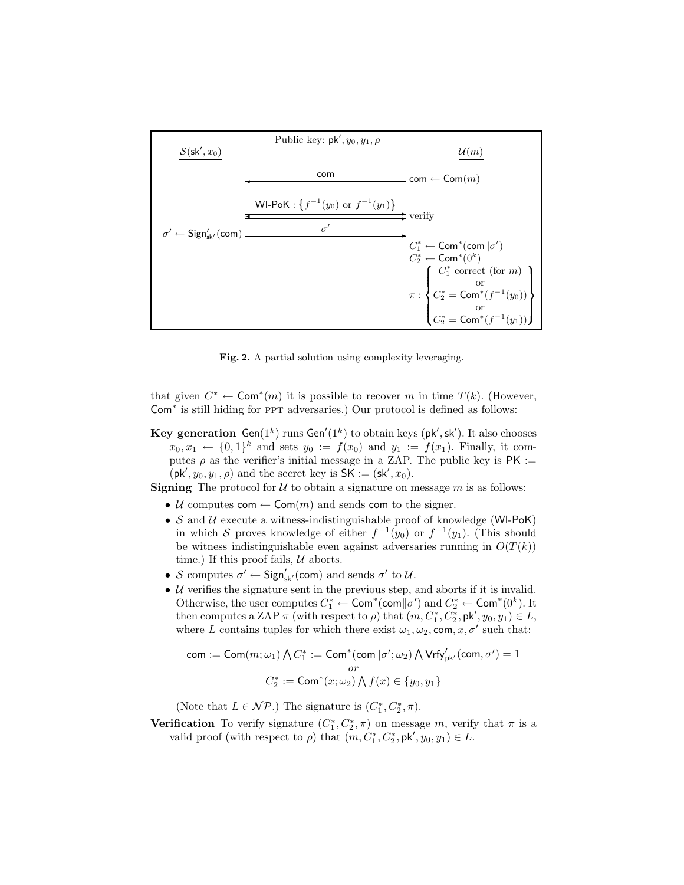

Fig. 2. A partial solution using complexity leveraging.

that given  $C^* \leftarrow \textsf{Com}^*(m)$  it is possible to recover m in time  $T(k)$ . (However, Com<sup>∗</sup> is still hiding for ppt adversaries.) Our protocol is defined as follows:

 ${\rm Key\,\, generation\,\, Gen}(1^k)$  runs  ${\rm Gen}'(1^k)$  to obtain keys (pk',sk'). It also chooses  $x_0, x_1 \leftarrow \{0,1\}^k$  and sets  $y_0 := f(x_0)$  and  $y_1 := f(x_1)$ . Finally, it computes  $\rho$  as the verifier's initial message in a ZAP. The public key is PK :=  $(\mathsf{pk}', y_0, y_1, \rho)$  and the secret key is  $\mathsf{SK} := (\mathsf{sk}', x_0)$ .

**Signing** The protocol for  $U$  to obtain a signature on message  $m$  is as follows:

- U computes com  $\leftarrow$  Com $(m)$  and sends com to the signer.
- S and U execute a witness-indistinguishable proof of knowledge (WI-PoK) in which S proves knowledge of either  $f^{-1}(y_0)$  or  $f^{-1}(y_1)$ . (This should be witness indistinguishable even against adversaries running in  $O(T(k))$ time.) If this proof fails,  $U$  aborts.
- S computes  $\sigma' \leftarrow \text{Sign}'_{sk'}(\text{com})$  and sends  $\sigma'$  to  $\mathcal{U}$ .
- $\bullet$  U verifies the signature sent in the previous step, and aborts if it is invalid. Otherwise, the user computes  $C_1^* \leftarrow \textsf{Com}^*(\textsf{com} || \sigma')$  and  $C_2^* \leftarrow \textsf{Com}^*(0^k)$ . It then computes a ZAP  $\pi$  (with respect to  $\rho$ ) that  $(m, C_1^*, C_2^*, \mathsf{pk}', y_0, y_1) \in L$ , where L contains tuples for which there exist  $\omega_1, \omega_2$ , com,  $x, \sigma'$  such that:

$$
com := \text{Com}(m; \omega_1) \bigwedge C_1^* := \text{Com}^*(com || \sigma'; \omega_2) \bigwedge \text{Vrfy}'_{\text{pk}'}(com, \sigma') = 1
$$

$$
C_2^* := \text{Com}^*(x; \omega_2) \bigwedge f(x) \in \{y_0, y_1\}
$$

(Note that  $L \in \mathcal{NP}$ .) The signature is  $(C_1^*, C_2^*, \pi)$ .

**Verification** To verify signature  $(C_1^*, C_2^*, \pi)$  on message m, verify that  $\pi$  is a valid proof (with respect to  $\rho$ ) that  $(m, C_1^*, C_2^*, \mathsf{pk}', y_0, y_1) \in L$ .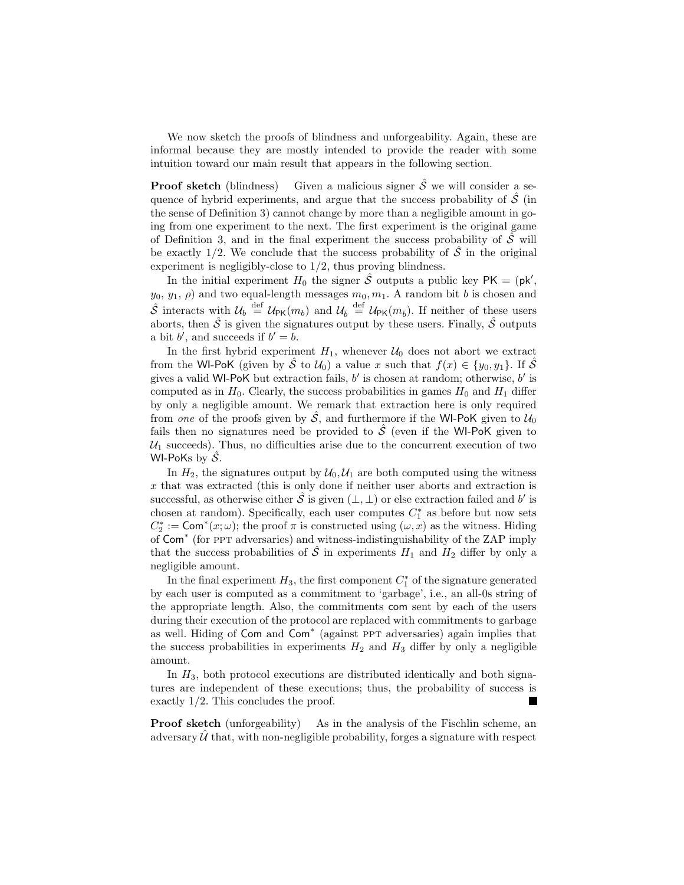We now sketch the proofs of blindness and unforgeability. Again, these are informal because they are mostly intended to provide the reader with some intuition toward our main result that appears in the following section.

**Proof sketch** (blindness) Given a malicious signer  $\hat{\mathcal{S}}$  we will consider a sequence of hybrid experiments, and argue that the success probability of  $\hat{\mathcal{S}}$  (in the sense of Definition 3) cannot change by more than a negligible amount in going from one experiment to the next. The first experiment is the original game of Definition 3, and in the final experiment the success probability of  $\hat{\mathcal{S}}$  will be exactly 1/2. We conclude that the success probability of  $\hat{\mathcal{S}}$  in the original experiment is negligibly-close to 1/2, thus proving blindness.

In the initial experiment  $H_0$  the signer  $\hat{\mathcal{S}}$  outputs a public key  $\mathsf{PK} = (\mathsf{pk}', \mathsf{pk}')$  $y_0, y_1, \rho$  and two equal-length messages  $m_0, m_1$ . A random bit b is chosen and  $\hat{\mathcal{S}}$  interacts with  $\mathcal{U}_b \stackrel{\text{def}}{=} \mathcal{U}_{\text{PK}}(m_b)$  and  $\mathcal{U}_{\bar{b}} \stackrel{\text{def}}{=} \mathcal{U}_{\text{PK}}(m_{\bar{b}})$ . If neither of these users aborts, then  $\hat{\mathcal{S}}$  is given the signatures output by these users. Finally,  $\hat{\mathcal{S}}$  outputs a bit  $b'$ , and succeeds if  $b' = b$ .

In the first hybrid experiment  $H_1$ , whenever  $\mathcal{U}_0$  does not abort we extract from the WI-PoK (given by  $\hat{\mathcal{S}}$  to  $\mathcal{U}_0$ ) a value x such that  $f(x) \in \{y_0, y_1\}$ . If  $\hat{\mathcal{S}}$ gives a valid WI-PoK but extraction fails,  $b'$  is chosen at random; otherwise,  $b'$  is computed as in  $H_0$ . Clearly, the success probabilities in games  $H_0$  and  $H_1$  differ by only a negligible amount. We remark that extraction here is only required from one of the proofs given by  $\hat{S}$ , and furthermore if the WI-PoK given to  $\mathcal{U}_0$ fails then no signatures need be provided to  $\hat{\mathcal{S}}$  (even if the WI-PoK given to  $\mathcal{U}_1$  succeeds). Thus, no difficulties arise due to the concurrent execution of two WI-PoKs by  $\mathcal{S}$ .

In  $H_2$ , the signatures output by  $\mathcal{U}_0$ ,  $\mathcal{U}_1$  are both computed using the witness x that was extracted (this is only done if neither user aborts and extraction is successful, as otherwise either  $\hat{\mathcal{S}}$  is given  $(\perp, \perp)$  or else extraction failed and  $b'$  is chosen at random). Specifically, each user computes  $C_1^*$  as before but now sets  $C_2^* := \textsf{Com}^*(x; \omega)$ ; the proof  $\pi$  is constructed using  $(\omega, x)$  as the witness. Hiding of Com<sup>∗</sup> (for ppt adversaries) and witness-indistinguishability of the ZAP imply that the success probabilities of  $\hat{\mathcal{S}}$  in experiments  $H_1$  and  $H_2$  differ by only a negligible amount.

In the final experiment  $H_3$ , the first component  $C_1^*$  of the signature generated by each user is computed as a commitment to 'garbage', i.e., an all-0s string of the appropriate length. Also, the commitments com sent by each of the users during their execution of the protocol are replaced with commitments to garbage as well. Hiding of Com and Com<sup>∗</sup> (against ppt adversaries) again implies that the success probabilities in experiments  $H_2$  and  $H_3$  differ by only a negligible amount.

In  $H_3$ , both protocol executions are distributed identically and both signatures are independent of these executions; thus, the probability of success is exactly 1/2. This concludes the proof.

**Proof sketch** (unforgeability) As in the analysis of the Fischlin scheme, an adversary  $\hat{U}$  that, with non-negligible probability, forges a signature with respect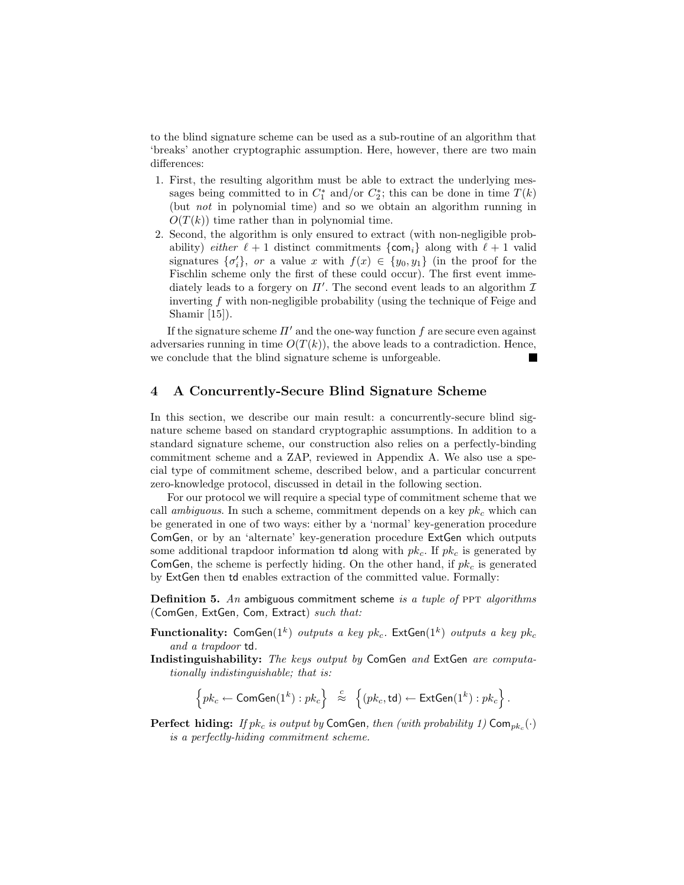to the blind signature scheme can be used as a sub-routine of an algorithm that 'breaks' another cryptographic assumption. Here, however, there are two main differences:

- 1. First, the resulting algorithm must be able to extract the underlying messages being committed to in  $C_1^*$  and/or  $C_2^*$ ; this can be done in time  $T(k)$ (but not in polynomial time) and so we obtain an algorithm running in  $O(T(k))$  time rather than in polynomial time.
- 2. Second, the algorithm is only ensured to extract (with non-negligible probability) *either*  $\ell + 1$  distinct commitments {com<sub>i</sub>} along with  $\ell + 1$  valid signatures  $\{\sigma_i'\}$ , or a value x with  $f(x) \in \{y_0, y_1\}$  (in the proof for the Fischlin scheme only the first of these could occur). The first event immediately leads to a forgery on  $\Pi'$ . The second event leads to an algorithm  $\mathcal I$ inverting f with non-negligible probability (using the technique of Feige and Shamir [15]).

If the signature scheme  $\Pi'$  and the one-way function f are secure even against adversaries running in time  $O(T(k))$ , the above leads to a contradiction. Hence, we conclude that the blind signature scheme is unforgeable.

# 4 A Concurrently-Secure Blind Signature Scheme

In this section, we describe our main result: a concurrently-secure blind signature scheme based on standard cryptographic assumptions. In addition to a standard signature scheme, our construction also relies on a perfectly-binding commitment scheme and a ZAP, reviewed in Appendix A. We also use a special type of commitment scheme, described below, and a particular concurrent zero-knowledge protocol, discussed in detail in the following section.

For our protocol we will require a special type of commitment scheme that we call *ambiguous*. In such a scheme, commitment depends on a key  $pk_c$  which can be generated in one of two ways: either by a 'normal' key-generation procedure ComGen, or by an 'alternate' key-generation procedure ExtGen which outputs some additional trapdoor information td along with  $pk_c$ . If  $pk_c$  is generated by ComGen, the scheme is perfectly hiding. On the other hand, if  $pk<sub>c</sub>$  is generated by ExtGen then td enables extraction of the committed value. Formally:

**Definition 5.** An ambiguous commitment scheme is a tuple of PPT algorithms (ComGen, ExtGen, Com, Extract) such that:

- $\textbf{Functionality:} \ \ \textsf{ComGen}(1^k) \ \ output {in} \ a \ \ key \ \ pk_c. \ \ \textsf{ExtGen}(1^k) \ \ output {in} \ a \ \ key \ \ pk_c$ and a trapdoor td.
- Indistinguishability: The keys output by ComGen and ExtGen are computationally indistinguishable; that is:

$$
\left\{pk_c \leftarrow \mathsf{ComGen}(1^k): pk_c \right\} \stackrel{c}{\approx} \left\{ (pk_c, \mathsf{td}) \leftarrow \mathsf{ExtGen}(1^k): pk_c \right\}.
$$

**Perfect hiding:** If  $pk_c$  is output by ComGen, then (with probability 1)  $\mathsf{Com}_{pk_c}(\cdot)$ is a perfectly-hiding commitment scheme.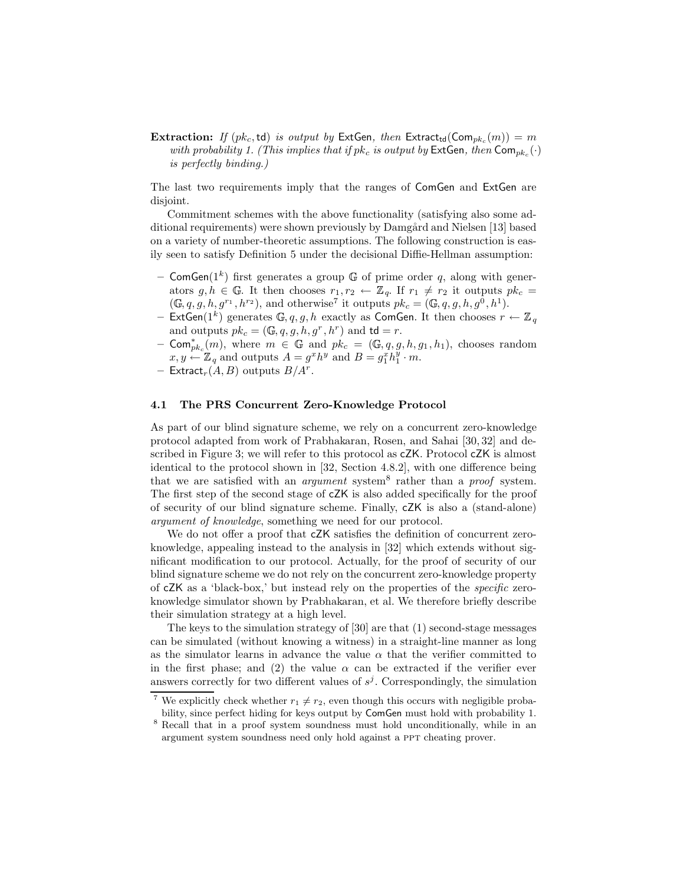**Extraction:** If  $(pk_c, \text{td})$  is output by ExtGen, then  $\textsf{Extract}_{\textsf{td}}(\textsf{Com}_{pk_c}(m))=m$ with probability 1. (This implies that if  $pk_c$  is output by  $\mathsf{ExtGen}$ , then  $\mathsf{Com}_{pk_c}(\cdot)$ is perfectly binding.)

The last two requirements imply that the ranges of ComGen and ExtGen are disjoint.

Commitment schemes with the above functionality (satisfying also some additional requirements) were shown previously by Damgård and Nielsen [13] based on a variety of number-theoretic assumptions. The following construction is easily seen to satisfy Definition 5 under the decisional Diffie-Hellman assumption:

- ComGen( $1^k$ ) first generates a group G of prime order q, along with generators  $g, h \in \mathbb{G}$ . It then chooses  $r_1, r_2 \leftarrow \mathbb{Z}_q$ . If  $r_1 \neq r_2$  it outputs  $pk_c =$  $(\mathbb{G}, q, g, h, g^{r_1}, h^{r_2}),$  and otherwise<sup>7</sup> it outputs  $pk_c = (\mathbb{G}, q, g, h, g^0, h^1).$
- ExtGen(1<sup>k</sup>) generates  $\mathbb{G}, q, g, h$  exactly as ComGen. It then chooses  $r ←$ q and the set of  $q$ and outputs  $pk_c = (\mathbb{G}, q, g, h, g^r, h^r)$  and  $td = r$ .
- Com<sub>pkc</sub>(m), where  $m \in \mathbb{G}$  and  $pk_c = (\mathbb{G}, q, g, h, g_1, h_1)$ , chooses random  $x, y \leftarrow \mathbb{Z}_q$  and outputs  $A = g^x h^y$  and  $B = g_1^x h_1^y \cdot m$ .
- $-$  Extract<sub>r</sub> $(A, B)$  outputs  $B/A<sup>r</sup>$ .

#### 4.1 The PRS Concurrent Zero-Knowledge Protocol

As part of our blind signature scheme, we rely on a concurrent zero-knowledge protocol adapted from work of Prabhakaran, Rosen, and Sahai [30, 32] and described in Figure 3; we will refer to this protocol as  $cZK$ . Protocol  $cZK$  is almost identical to the protocol shown in [32, Section 4.8.2], with one difference being that we are satisfied with an *argument* system<sup>8</sup> rather than a *proof* system. The first step of the second stage of cZK is also added specifically for the proof of security of our blind signature scheme. Finally, cZK is also a (stand-alone) argument of knowledge, something we need for our protocol.

We do not offer a proof that  $cZK$  satisfies the definition of concurrent zeroknowledge, appealing instead to the analysis in [32] which extends without significant modification to our protocol. Actually, for the proof of security of our blind signature scheme we do not rely on the concurrent zero-knowledge property of cZK as a 'black-box,' but instead rely on the properties of the specific zeroknowledge simulator shown by Prabhakaran, et al. We therefore briefly describe their simulation strategy at a high level.

The keys to the simulation strategy of  $[30]$  are that  $(1)$  second-stage messages can be simulated (without knowing a witness) in a straight-line manner as long as the simulator learns in advance the value  $\alpha$  that the verifier committed to in the first phase; and (2) the value  $\alpha$  can be extracted if the verifier ever answers correctly for two different values of  $s^j$ . Correspondingly, the simulation

<sup>&</sup>lt;sup>7</sup> We explicitly check whether  $r_1 \neq r_2$ , even though this occurs with negligible probability, since perfect hiding for keys output by ComGen must hold with probability 1.

<sup>8</sup> Recall that in a proof system soundness must hold unconditionally, while in an argument system soundness need only hold against a ppt cheating prover.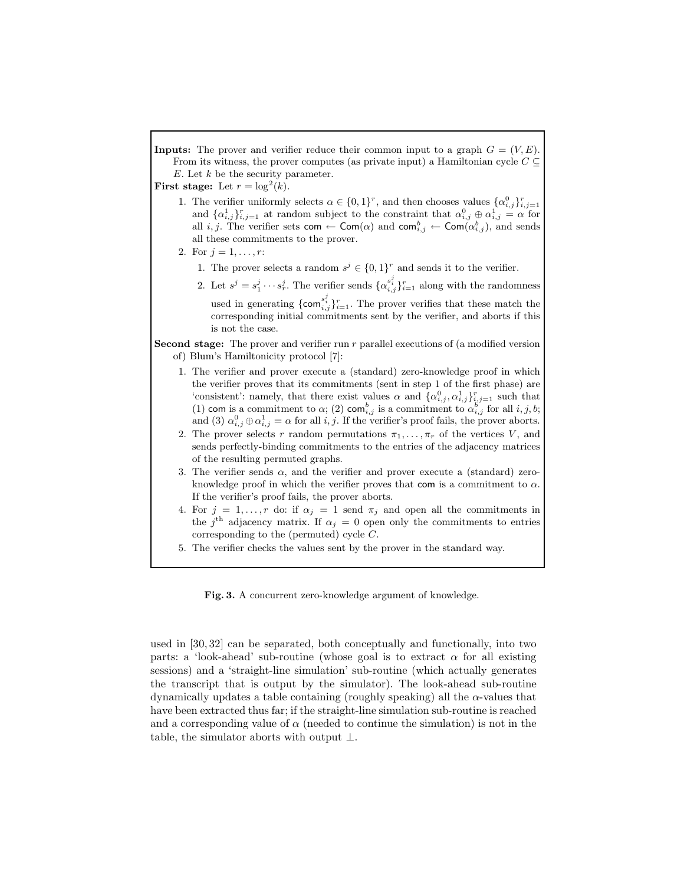**Inputs:** The prover and verifier reduce their common input to a graph  $G = (V, E)$ . From its witness, the prover computes (as private input) a Hamiltonian cycle  $C \subseteq$  $E$ . Let  $k$  be the security parameter.

First stage: Let  $r = \log^2(k)$ .

- 1. The verifier uniformly selects  $\alpha \in \{0,1\}^r$ , and then chooses values  $\{\alpha_{i,j}^0\}_{i,j=1}^r$ and  $\{\alpha_{i,j}^1\}_{i,j=1}^r$  at random subject to the constraint that  $\alpha_{i,j}^0 \oplus \alpha_{i,j}^1 = \alpha$  for all *i*, *j*. The verifier sets com  $\leftarrow$  Com( $\alpha$ ) and com $_{i,j}^{b}$   $\leftarrow$  Com( $\alpha_{i,j}^{b}$ ), and sends all these commitments to the prover.
- 2. For  $j = 1, ..., r$ :
	- 1. The prover selects a random  $s^j \in \{0,1\}^r$  and sends it to the verifier.
	- 2. Let  $s^j = s_1^j \cdots s_r^j$ . The verifier sends  $\{ \alpha_{i,j}^{s_i^j} \}_{i=1}^r$  along with the randomness used in generating  $\{\text{com}_{i,j}^{s_i^j}\}_{i=1}^r$ . The prover verifies that these match the corresponding initial commitments sent by the verifier, and aborts if this

is not the case. **Second stage:** The prover and verifier run  $r$  parallel executions of (a modified version

- of) Blum's Hamiltonicity protocol [7]: 1. The verifier and prover execute a (standard) zero-knowledge proof in which the verifier proves that its commitments (sent in step 1 of the first phase) are 'consistent': namely, that there exist values  $\alpha$  and  $\{\alpha_{i,j}^0, \alpha_{i,j}^1\}_{i,j=1}^r$  such that (1) com is a commitment to  $\alpha$ ; (2) com $_{i,j}^b$  is a commitment to  $\alpha_{i,j}^b$  for all  $i, j, b$ ;
- and (3)  $\alpha_{i,j}^0 \oplus \alpha_{i,j}^1 = \alpha$  for all  $i, j$ . If the verifier's proof fails, the prover aborts. 2. The prover selects r random permutations  $\pi_1, \ldots, \pi_r$  of the vertices V, and sends perfectly-binding commitments to the entries of the adjacency matrices of the resulting permuted graphs.
- 3. The verifier sends  $\alpha$ , and the verifier and prover execute a (standard) zeroknowledge proof in which the verifier proves that com is a commitment to  $\alpha$ . If the verifier's proof fails, the prover aborts.
- 4. For  $j = 1, \ldots, r$  do: if  $\alpha_j = 1$  send  $\pi_j$  and open all the commitments in the j<sup>th</sup> adjacency matrix. If  $\alpha_j = 0$  open only the commitments to entries corresponding to the (permuted) cycle  $C$ .
- 5. The verifier checks the values sent by the prover in the standard way.

Fig. 3. A concurrent zero-knowledge argument of knowledge.

used in [30, 32] can be separated, both conceptually and functionally, into two parts: a 'look-ahead' sub-routine (whose goal is to extract  $\alpha$  for all existing sessions) and a 'straight-line simulation' sub-routine (which actually generates the transcript that is output by the simulator). The look-ahead sub-routine dynamically updates a table containing (roughly speaking) all the  $\alpha$ -values that have been extracted thus far; if the straight-line simulation sub-routine is reached and a corresponding value of  $\alpha$  (needed to continue the simulation) is not in the table, the simulator aborts with output  $\bot$ .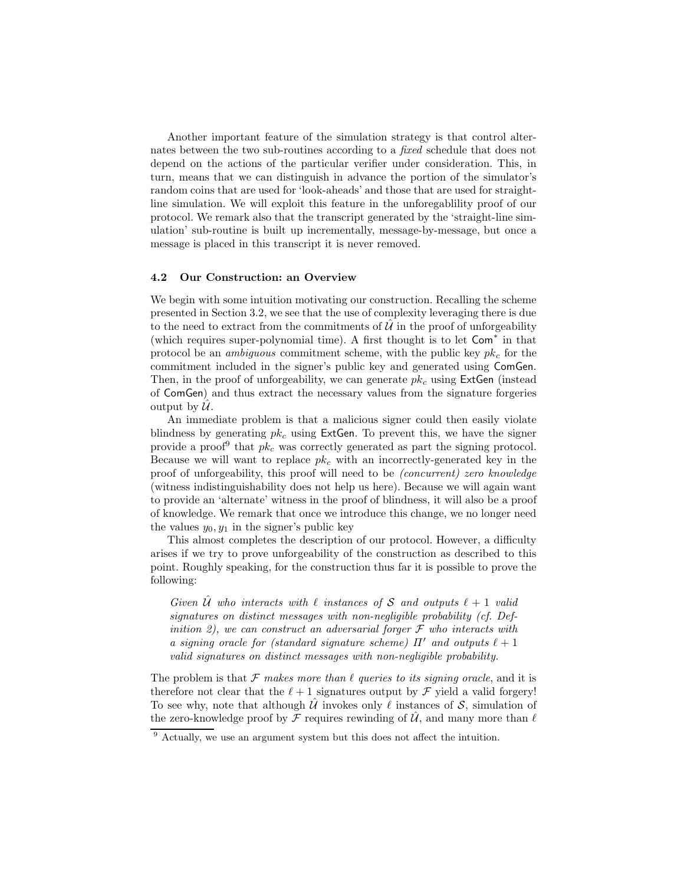Another important feature of the simulation strategy is that control alternates between the two sub-routines according to a fixed schedule that does not depend on the actions of the particular verifier under consideration. This, in turn, means that we can distinguish in advance the portion of the simulator's random coins that are used for 'look-aheads' and those that are used for straightline simulation. We will exploit this feature in the unforegablility proof of our protocol. We remark also that the transcript generated by the 'straight-line simulation' sub-routine is built up incrementally, message-by-message, but once a message is placed in this transcript it is never removed.

#### 4.2 Our Construction: an Overview

We begin with some intuition motivating our construction. Recalling the scheme presented in Section 3.2, we see that the use of complexity leveraging there is due to the need to extract from the commitments of  $\mathcal U$  in the proof of unforgeability (which requires super-polynomial time). A first thought is to let Com<sup>∗</sup> in that protocol be an *ambiguous* commitment scheme, with the public key  $pk_c$  for the commitment included in the signer's public key and generated using ComGen. Then, in the proof of unforgeability, we can generate  $pk_c$  using ExtGen (instead of ComGen) and thus extract the necessary values from the signature forgeries output by  $\mathcal{U}$ .

An immediate problem is that a malicious signer could then easily violate blindness by generating  $pk_c$  using ExtGen. To prevent this, we have the signer provide a proof<sup>9</sup> that  $pk_c$  was correctly generated as part the signing protocol. Because we will want to replace  $pk_c$  with an incorrectly-generated key in the proof of unforgeability, this proof will need to be (concurrent) zero knowledge (witness indistinguishability does not help us here). Because we will again want to provide an 'alternate' witness in the proof of blindness, it will also be a proof of knowledge. We remark that once we introduce this change, we no longer need the values  $y_0, y_1$  in the signer's public key

This almost completes the description of our protocol. However, a difficulty arises if we try to prove unforgeability of the construction as described to this point. Roughly speaking, for the construction thus far it is possible to prove the following:

Given  $\hat{U}$  who interacts with  $\ell$  instances of S and outputs  $\ell + 1$  valid signatures on distinct messages with non-negligible probability (cf. Definition 2), we can construct an adversarial forger  $\mathcal F$  who interacts with a signing oracle for (standard signature scheme)  $\Pi'$  and outputs  $\ell + 1$ valid signatures on distinct messages with non-negligible probability.

The problem is that  $\mathcal F$  makes more than  $\ell$  queries to its signing oracle, and it is therefore not clear that the  $\ell + 1$  signatures output by F yield a valid forgery! To see why, note that although U invokes only  $\ell$  instances of S, simulation of the zero-knowledge proof by  $\mathcal F$  requires rewinding of  $\mathcal U$ , and many more than  $\ell$ 

<sup>&</sup>lt;sup>9</sup> Actually, we use an argument system but this does not affect the intuition.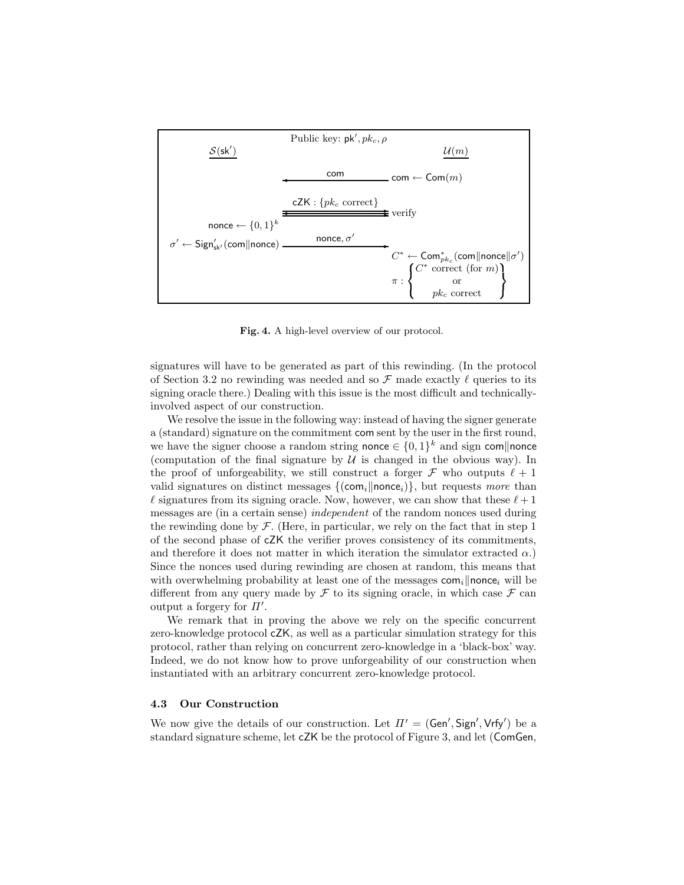

Fig. 4. A high-level overview of our protocol.

signatures will have to be generated as part of this rewinding. (In the protocol of Section 3.2 no rewinding was needed and so  $\mathcal F$  made exactly  $\ell$  queries to its signing oracle there.) Dealing with this issue is the most difficult and technicallyinvolved aspect of our construction.

We resolve the issue in the following way: instead of having the signer generate a (standard) signature on the commitment com sent by the user in the first round, we have the signer choose a random string nonce  $\in \{0,1\}^k$  and sign com nonce (computation of the final signature by  $\mathcal U$  is changed in the obvious way). In the proof of unforgeability, we still construct a forger  $\mathcal F$  who outputs  $\ell + 1$ valid signatures on distinct messages  $\{(\text{com}_i \| \text{none}_i)\},$  but requests more than  $\ell$  signatures from its signing oracle. Now, however, we can show that these  $\ell + 1$ messages are (in a certain sense) independent of the random nonces used during the rewinding done by  $\mathcal F$ . (Here, in particular, we rely on the fact that in step 1) of the second phase of cZK the verifier proves consistency of its commitments, and therefore it does not matter in which iteration the simulator extracted  $\alpha$ .) Since the nonces used during rewinding are chosen at random, this means that with overwhelming probability at least one of the messages  $com_i$  nonce<sub>i</sub> will be different from any query made by  $\mathcal F$  to its signing oracle, in which case  $\mathcal F$  can output a forgery for  $\Pi'$ .

We remark that in proving the above we rely on the specific concurrent zero-knowledge protocol cZK, as well as a particular simulation strategy for this protocol, rather than relying on concurrent zero-knowledge in a 'black-box' way. Indeed, we do not know how to prove unforgeability of our construction when instantiated with an arbitrary concurrent zero-knowledge protocol.

#### 4.3 Our Construction

We now give the details of our construction. Let  $\Pi' = (\mathsf{Gen}', \mathsf{Sign}', \mathsf{Vrfy}')$  be a standard signature scheme, let cZK be the protocol of Figure 3, and let (ComGen,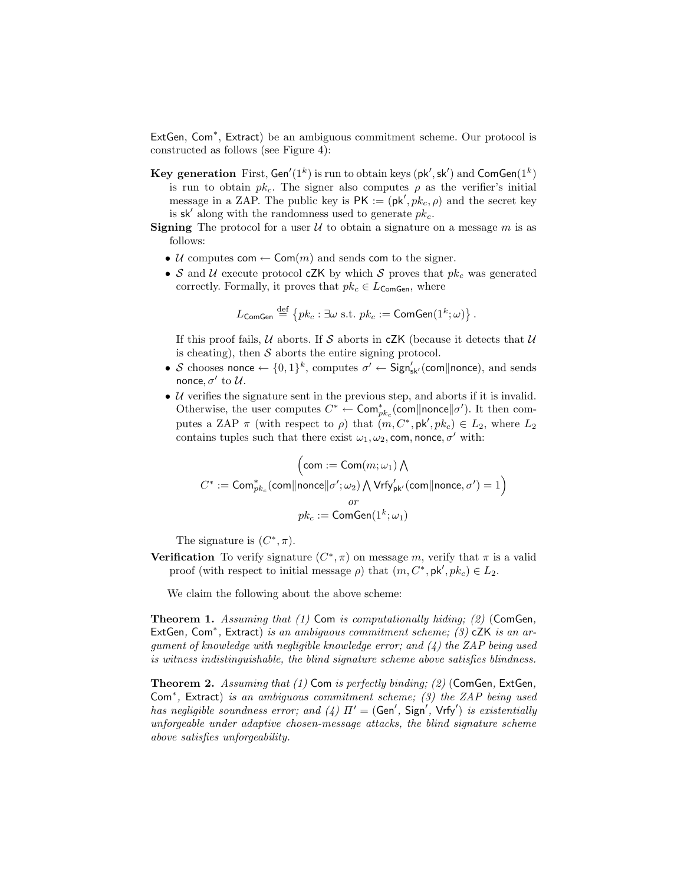ExtGen, Com<sup>∗</sup> , Extract) be an ambiguous commitment scheme. Our protocol is constructed as follows (see Figure 4):

- ${\rm \bf Key\,\, generation\,\, First,}$  Gen $'(1^k)$  is run to obtain keys (pk', sk') and ComGen $(1^k)$ is run to obtain  $pk_c$ . The signer also computes  $\rho$  as the verifier's initial message in a ZAP. The public key is  $PK := (pk', pk_c, \rho)$  and the secret key is sk' along with the randomness used to generate  $pk_c$ .
- **Signing** The protocol for a user  $U$  to obtain a signature on a message  $m$  is as follows:
	- U computes com  $\leftarrow$  Com $(m)$  and sends com to the signer.
	- S and U execute protocol cZK by which S proves that  $pk_c$  was generated correctly. Formally, it proves that  $pk_c \in L_{\text{ComGen}}$ , where

$$
L_{\mathsf{ComGen}} \stackrel{\text{def}}{=} \left\{ pk_c : \exists \omega \text{ s.t. } pk_c := \mathsf{ComGen}(1^k; \omega) \right\}.
$$

If this proof fails, U aborts. If S aborts in cZK (because it detects that U is cheating), then  $S$  aborts the entire signing protocol.

- S chooses nonce  $\leftarrow \{0,1\}^k$ , computes  $\sigma' \leftarrow \mathsf{Sign}'_{\mathsf{sk}'}(\mathsf{com}\parallel \mathsf{none}),$  and sends nonce,  $\sigma'$  to  $\mathcal{U}$ .
- $\bullet$   $\ensuremath{\mathcal{U}}$  verifies the signature sent in the previous step, and aborts if it is invalid. Otherwise, the user computes  $C^* \leftarrow \textsf{Com}_{pk_c}^*(\textsf{com}||\textsf{none}||\sigma')$ . It then computes a ZAP  $\pi$  (with respect to  $\rho$ ) that  $(m, C^*, \mathsf{pk}', pk_c) \in L_2$ , where  $L_2$ contains tuples such that there exist  $\omega_1, \omega_2$ , com, nonce,  $\sigma'$  with:

$$
\begin{aligned} \Bigl(\mathsf{com}:=\mathsf{Com}(m;\omega_1)\,\bigwedge\\ C^*:=\mathsf{Com}_{pk_c}^*(\mathsf{com}\|\mathsf{nonce}\|\sigma';\omega_2)\,\bigwedge\mathsf{Vrfy}'_{\mathsf{pk}'}(\mathsf{com}\|\mathsf{nonce},\sigma')=1\Bigr)\\ \mathit{or}\\ p k_c:=\mathsf{ComGen}(1^k;\omega_1) \end{aligned}
$$

The signature is  $(C^*, \pi)$ .

**Verification** To verify signature  $(C^*, \pi)$  on message m, verify that  $\pi$  is a valid proof (with respect to initial message  $\rho$ ) that  $(m, C^*, \mathsf{pk}', pk_c) \in L_2$ .

We claim the following about the above scheme:

**Theorem 1.** Assuming that  $(1)$  Com is computationally hiding;  $(2)$  (ComGen, ExtGen, Com<sup>\*</sup>, Extract) is an ambiguous commitment scheme; (3) cZK is an argument of knowledge with negligible knowledge error; and (4) the ZAP being used is witness indistinguishable, the blind signature scheme above satisfies blindness.

**Theorem 2.** Assuming that (1) Com is perfectly binding; (2) (ComGen, ExtGen, Com<sup>∗</sup> , Extract) is an ambiguous commitment scheme; (3) the ZAP being used has negligible soundness error; and (4)  $\Pi' = (\mathsf{Gen}', \mathsf{Sign}', \mathsf{Vrfy}')$  is existentially unforgeable under adaptive chosen-message attacks, the blind signature scheme above satisfies unforgeability.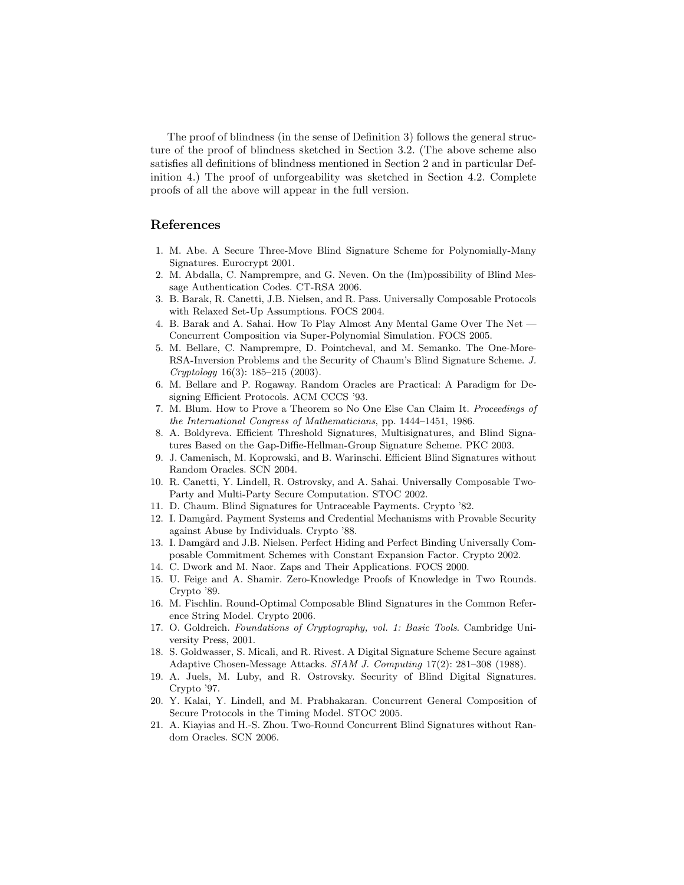The proof of blindness (in the sense of Definition 3) follows the general structure of the proof of blindness sketched in Section 3.2. (The above scheme also satisfies all definitions of blindness mentioned in Section 2 and in particular Definition 4.) The proof of unforgeability was sketched in Section 4.2. Complete proofs of all the above will appear in the full version.

### References

- 1. M. Abe. A Secure Three-Move Blind Signature Scheme for Polynomially-Many Signatures. Eurocrypt 2001.
- 2. M. Abdalla, C. Namprempre, and G. Neven. On the (Im)possibility of Blind Message Authentication Codes. CT-RSA 2006.
- 3. B. Barak, R. Canetti, J.B. Nielsen, and R. Pass. Universally Composable Protocols with Relaxed Set-Up Assumptions. FOCS 2004.
- 4. B. Barak and A. Sahai. How To Play Almost Any Mental Game Over The Net Concurrent Composition via Super-Polynomial Simulation. FOCS 2005.
- 5. M. Bellare, C. Namprempre, D. Pointcheval, and M. Semanko. The One-More-RSA-Inversion Problems and the Security of Chaum's Blind Signature Scheme. J. Cryptology 16(3): 185–215 (2003).
- 6. M. Bellare and P. Rogaway. Random Oracles are Practical: A Paradigm for Designing Efficient Protocols. ACM CCCS '93.
- 7. M. Blum. How to Prove a Theorem so No One Else Can Claim It. Proceedings of the International Congress of Mathematicians, pp. 1444–1451, 1986.
- 8. A. Boldyreva. Efficient Threshold Signatures, Multisignatures, and Blind Signatures Based on the Gap-Diffie-Hellman-Group Signature Scheme. PKC 2003.
- 9. J. Camenisch, M. Koprowski, and B. Warinschi. Efficient Blind Signatures without Random Oracles. SCN 2004.
- 10. R. Canetti, Y. Lindell, R. Ostrovsky, and A. Sahai. Universally Composable Two-Party and Multi-Party Secure Computation. STOC 2002.
- 11. D. Chaum. Blind Signatures for Untraceable Payments. Crypto '82.
- 12. I. Damgård. Payment Systems and Credential Mechanisms with Provable Security against Abuse by Individuals. Crypto '88.
- 13. I. Damgård and J.B. Nielsen. Perfect Hiding and Perfect Binding Universally Composable Commitment Schemes with Constant Expansion Factor. Crypto 2002.
- 14. C. Dwork and M. Naor. Zaps and Their Applications. FOCS 2000.
- 15. U. Feige and A. Shamir. Zero-Knowledge Proofs of Knowledge in Two Rounds. Crypto '89.
- 16. M. Fischlin. Round-Optimal Composable Blind Signatures in the Common Reference String Model. Crypto 2006.
- 17. O. Goldreich. Foundations of Cryptography, vol. 1: Basic Tools. Cambridge University Press, 2001.
- 18. S. Goldwasser, S. Micali, and R. Rivest. A Digital Signature Scheme Secure against Adaptive Chosen-Message Attacks. SIAM J. Computing 17(2): 281–308 (1988).
- 19. A. Juels, M. Luby, and R. Ostrovsky. Security of Blind Digital Signatures. Crypto '97.
- 20. Y. Kalai, Y. Lindell, and M. Prabhakaran. Concurrent General Composition of Secure Protocols in the Timing Model. STOC 2005.
- 21. A. Kiayias and H.-S. Zhou. Two-Round Concurrent Blind Signatures without Random Oracles. SCN 2006.